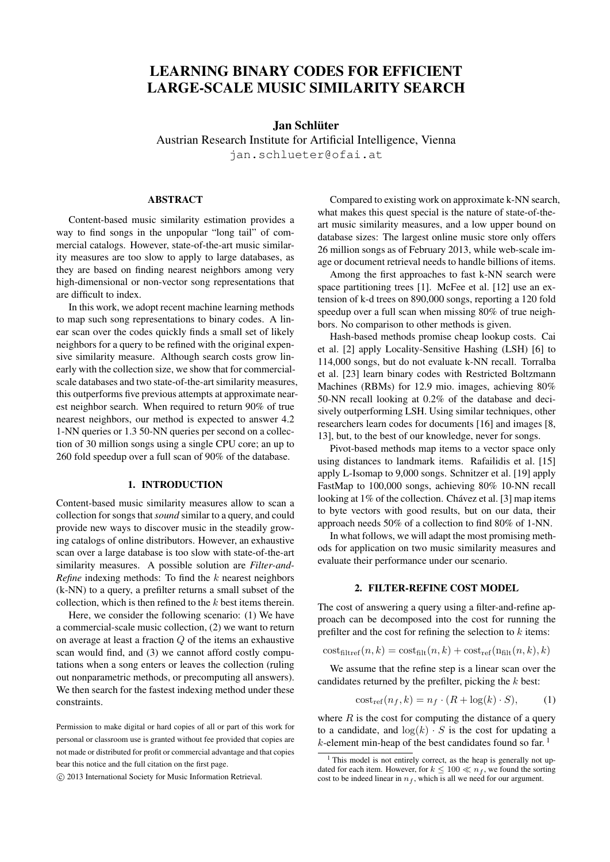# LEARNING BINARY CODES FOR EFFICIENT LARGE-SCALE MUSIC SIMILARITY SEARCH

# Jan Schlüter

[Austrian Research Institute for Artificial Intelligence, Vienna](http://www.ofai.at) [jan.schlueter@ofai.at](mailto:jan.schlueter@ofai.at)

## ABSTRACT

Content-based music similarity estimation provides a way to find songs in the unpopular "long tail" of commercial catalogs. However, state-of-the-art music similarity measures are too slow to apply to large databases, as they are based on finding nearest neighbors among very high-dimensional or non-vector song representations that are difficult to index.

In this work, we adopt recent machine learning methods to map such song representations to binary codes. A linear scan over the codes quickly finds a small set of likely neighbors for a query to be refined with the original expensive similarity measure. Although search costs grow linearly with the collection size, we show that for commercialscale databases and two state-of-the-art similarity measures, this outperforms five previous attempts at approximate nearest neighbor search. When required to return 90% of true nearest neighbors, our method is expected to answer 4.2 1-NN queries or 1.3 50-NN queries per second on a collection of 30 million songs using a single CPU core; an up to 260 fold speedup over a full scan of 90% of the database.

#### 1. INTRODUCTION

Content-based music similarity measures allow to scan a collection for songs that*sound* similar to a query, and could provide new ways to discover music in the steadily growing catalogs of online distributors. However, an exhaustive scan over a large database is too slow with state-of-the-art similarity measures. A possible solution are *Filter-and-Refine* indexing methods: To find the k nearest neighbors (k-NN) to a query, a prefilter returns a small subset of the collection, which is then refined to the k best items therein.

Here, we consider the following scenario: (1) We have a commercial-scale music collection, (2) we want to return on average at least a fraction Q of the items an exhaustive scan would find, and (3) we cannot afford costly computations when a song enters or leaves the collection (ruling out nonparametric methods, or precomputing all answers). We then search for the fastest indexing method under these constraints.

c 2013 International Society for Music Information Retrieval.

Compared to existing work on approximate k-NN search, what makes this quest special is the nature of state-of-theart music similarity measures, and a low upper bound on database sizes: The largest online music store only offers 26 million songs as of February 2013, while web-scale image or document retrieval needs to handle billions of items.

Among the first approaches to fast k-NN search were space partitioning trees [1]. McFee et al. [12] use an extension of k-d trees on 890,000 songs, reporting a 120 fold speedup over a full scan when missing 80% of true neighbors. No comparison to other methods is given.

Hash-based methods promise cheap lookup costs. Cai et al. [2] apply Locality-Sensitive Hashing (LSH) [6] to 114,000 songs, but do not evaluate k-NN recall. Torralba et al. [23] learn binary codes with Restricted Boltzmann Machines (RBMs) for 12.9 mio. images, achieving 80% 50-NN recall looking at 0.2% of the database and decisively outperforming LSH. Using similar techniques, other researchers learn codes for documents [16] and images [8, 13], but, to the best of our knowledge, never for songs.

Pivot-based methods map items to a vector space only using distances to landmark items. Rafailidis et al. [15] apply L-Isomap to 9,000 songs. Schnitzer et al. [19] apply FastMap to 100,000 songs, achieving 80% 10-NN recall looking at  $1\%$  of the collection. Chavez et al. [3] map items to byte vectors with good results, but on our data, their approach needs 50% of a collection to find 80% of 1-NN.

In what follows, we will adapt the most promising methods for application on two music similarity measures and evaluate their performance under our scenario.

## 2. FILTER-REFINE COST MODEL

The cost of answering a query using a filter-and-refine approach can be decomposed into the cost for running the prefilter and the cost for refining the selection to  $k$  items:

$$
\mathrm{cost}_{\mathrm{filter}}(n,k) = \mathrm{cost}_{\mathrm{filt}}(n,k) + \mathrm{cost}_{\mathrm{ref}}(\mathrm{n}_{\mathrm{filt}}(n,k),k)
$$

We assume that the refine step is a linear scan over the candidates returned by the prefilter, picking the  $k$  best:

<span id="page-0-1"></span>
$$
cost_{ref}(n_f, k) = n_f \cdot (R + \log(k) \cdot S), \tag{1}
$$

where  $R$  is the cost for computing the distance of a query to a candidate, and  $log(k) \cdot S$  is the cost for updating a  $k$ -element min-heap of the best candidates found so far.<sup>[1](#page-0-0)</sup>

Permission to make digital or hard copies of all or part of this work for personal or classroom use is granted without fee provided that copies are not made or distributed for profit or commercial advantage and that copies bear this notice and the full citation on the first page.

<span id="page-0-0"></span> $1$  This model is not entirely correct, as the heap is generally not updated for each item. However, for  $k \le 100 \ll n_f$ , we found the sorting cost to be indeed linear in  $n_f$ , which is all we need for our argument.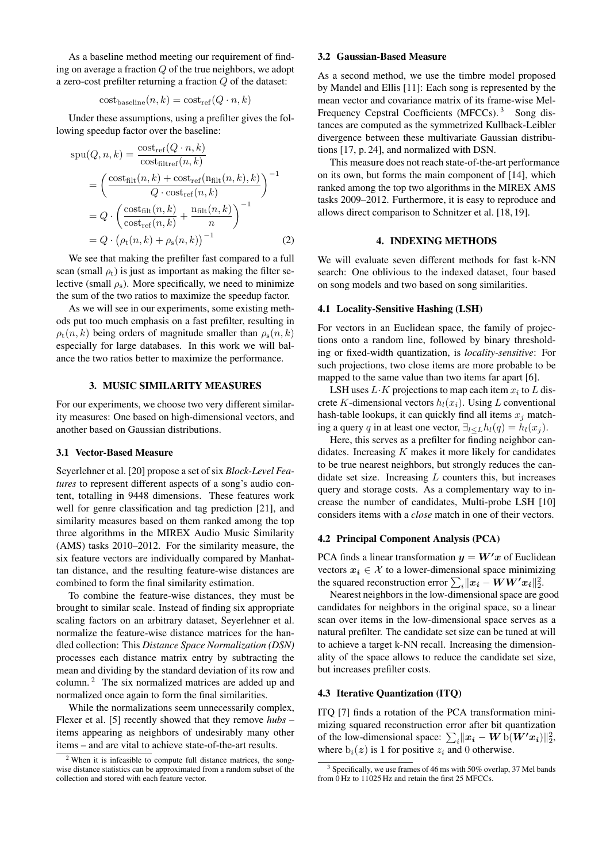As a baseline method meeting our requirement of finding on average a fraction Q of the true neighbors, we adopt a zero-cost prefilter returning a fraction Q of the dataset:

$$
\mathrm{cost}_{\mathrm{baseline}}(n,k) = \mathrm{cost}_{\mathrm{ref}}(Q \cdot n, k)
$$

Under these assumptions, using a prefilter gives the following speedup factor over the baseline:

$$
spu(Q, n, k) = \frac{\text{cost}_{\text{ref}}(Q \cdot n, k)}{\text{cost}_{\text{filter}}(n, k)}
$$
  
= 
$$
\left(\frac{\text{cost}_{\text{filt}}(n, k) + \text{cost}_{\text{ref}}(\text{n}_{\text{filt}}(n, k), k)}{Q \cdot \text{cost}_{\text{ref}}(n, k)}\right)^{-1}
$$
  
= 
$$
Q \cdot \left(\frac{\text{cost}_{\text{filt}}(n, k)}{\text{cost}_{\text{ref}}(n, k)} + \frac{\text{n}_{\text{filt}}(n, k)}{n}\right)^{-1}
$$
  
= 
$$
Q \cdot \left(\rho_{t}(n, k) + \rho_{s}(n, k)\right)^{-1}
$$
(2)

We see that making the prefilter fast compared to a full scan (small  $\rho_t$ ) is just as important as making the filter selective (small  $\rho_s$ ). More specifically, we need to minimize the sum of the two ratios to maximize the speedup factor.

As we will see in our experiments, some existing methods put too much emphasis on a fast prefilter, resulting in  $\rho_t(n, k)$  being orders of magnitude smaller than  $\rho_s(n, k)$ especially for large databases. In this work we will balance the two ratios better to maximize the performance.

## 3. MUSIC SIMILARITY MEASURES

For our experiments, we choose two very different similarity measures: One based on high-dimensional vectors, and another based on Gaussian distributions.

## <span id="page-1-3"></span>3.1 Vector-Based Measure

Seyerlehner et al. [20] propose a set of six *Block-Level Features* to represent different aspects of a song's audio content, totalling in 9448 dimensions. These features work well for genre classification and tag prediction [21], and similarity measures based on them ranked among the top three algorithms in the MIREX Audio Music Similarity (AMS) tasks 2010–2012. For the similarity measure, the six feature vectors are individually compared by Manhattan distance, and the resulting feature-wise distances are combined to form the final similarity estimation.

To combine the feature-wise distances, they must be brought to similar scale. Instead of finding six appropriate scaling factors on an arbitrary dataset, Seyerlehner et al. normalize the feature-wise distance matrices for the handled collection: This *Distance Space Normalization (DSN)* processes each distance matrix entry by subtracting the mean and dividing by the standard deviation of its row and column. [2](#page-1-0) The six normalized matrices are added up and normalized once again to form the final similarities.

While the normalizations seem unnecessarily complex, Flexer et al. [5] recently showed that they remove *hubs* – items appearing as neighbors of undesirably many other items – and are vital to achieve state-of-the-art results.

#### 3.2 Gaussian-Based Measure

As a second method, we use the timbre model proposed by Mandel and Ellis [11]: Each song is represented by the mean vector and covariance matrix of its frame-wise Mel-Frequency Cepstral Coefficients (MFCCs).<sup>[3](#page-1-1)</sup> Song distances are computed as the symmetrized Kullback-Leibler divergence between these multivariate Gaussian distributions [17, p. 24], and normalized with DSN.

This measure does not reach state-of-the-art performance on its own, but forms the main component of [14], which ranked among the top two algorithms in the MIREX AMS tasks 2009–2012. Furthermore, it is easy to reproduce and allows direct comparison to Schnitzer et al. [18, 19].

## 4. INDEXING METHODS

<span id="page-1-2"></span>We will evaluate seven different methods for fast k-NN search: One oblivious to the indexed dataset, four based on song models and two based on song similarities.

## 4.1 Locality-Sensitive Hashing (LSH)

For vectors in an Euclidean space, the family of projections onto a random line, followed by binary thresholding or fixed-width quantization, is *locality-sensitive*: For such projections, two close items are more probable to be mapped to the same value than two items far apart [6].

LSH uses  $L \cdot K$  projections to map each item  $x_i$  to  $L$  discrete K-dimensional vectors  $h_l(x_i)$ . Using L conventional hash-table lookups, it can quickly find all items  $x_j$  matching a query q in at least one vector,  $\exists_{l \leq L} h_l(q) = h_l(x_i)$ .

Here, this serves as a prefilter for finding neighbor candidates. Increasing  $K$  makes it more likely for candidates to be true nearest neighbors, but strongly reduces the candidate set size. Increasing  $L$  counters this, but increases query and storage costs. As a complementary way to increase the number of candidates, Multi-probe LSH [10] considers items with a *close* match in one of their vectors.

## 4.2 Principal Component Analysis (PCA)

PCA finds a linear transformation  $y = W'x$  of Euclidean vectors  $x_i \in \mathcal{X}$  to a lower-dimensional space minimizing the squared reconstruction error  $\sum_i \lVert \bm{x_i} - \bm{W} \bm{W'} \bm{x_i} \rVert_2^2.$ 

Nearest neighbors in the low-dimensional space are good candidates for neighbors in the original space, so a linear scan over items in the low-dimensional space serves as a natural prefilter. The candidate set size can be tuned at will to achieve a target k-NN recall. Increasing the dimensionality of the space allows to reduce the candidate set size, but increases prefilter costs.

## 4.3 Iterative Quantization (ITQ)

ITQ [7] finds a rotation of the PCA transformation minimizing squared reconstruction error after bit quantization of the low-dimensional space:  $\sum_i ||x_i - W_0(W'x_i)||_2^2$ , where  $b_i(z)$  is 1 for positive  $z_i$  and 0 otherwise.

<span id="page-1-0"></span> $2$  When it is infeasible to compute full distance matrices, the songwise distance statistics can be approximated from a random subset of the collection and stored with each feature vector.

<span id="page-1-1"></span> $3$  Specifically, we use frames of 46 ms with 50% overlap, 37 Mel bands from 0 Hz to 11025 Hz and retain the first 25 MFCCs.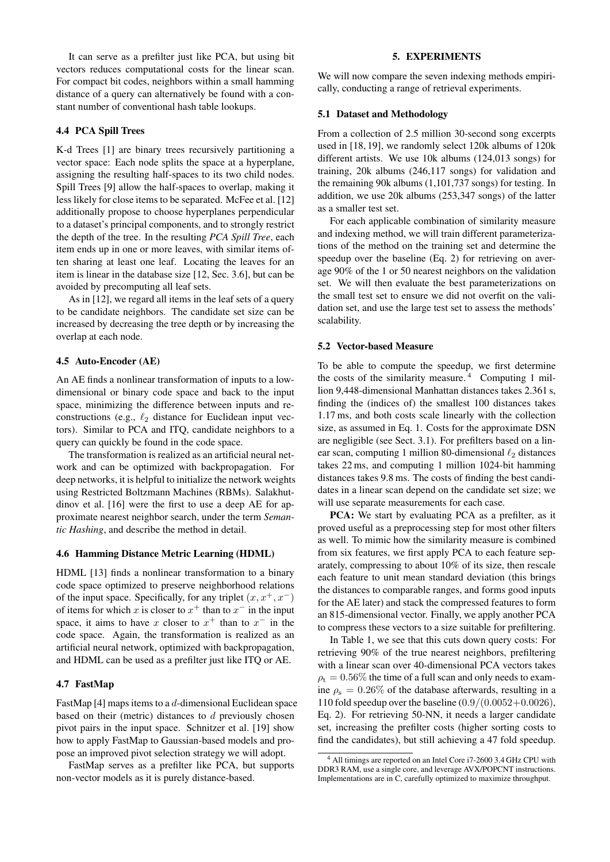It can serve as a prefilter just like PCA, but using bit vectors reduces computational costs for the linear scan. For compact bit codes, neighbors within a small hamming distance of a query can alternatively be found with a constant number of conventional hash table lookups.

# 4.4 PCA Spill Trees

K-d Trees [1] are binary trees recursively partitioning a vector space: Each node splits the space at a hyperplane, assigning the resulting half-spaces to its two child nodes. Spill Trees [9] allow the half-spaces to overlap, making it less likely for close items to be separated. McFee et al. [12] additionally propose to choose hyperplanes perpendicular to a dataset's principal components, and to strongly restrict the depth of the tree. In the resulting *PCA Spill Tree*, each item ends up in one or more leaves, with similar items often sharing at least one leaf. Locating the leaves for an item is linear in the database size [12, Sec. 3.6], but can be avoided by precomputing all leaf sets.

As in [12], we regard all items in the leaf sets of a query to be candidate neighbors. The candidate set size can be increased by decreasing the tree depth or by increasing the overlap at each node.

#### 4.5 Auto-Encoder (AE)

An AE finds a nonlinear transformation of inputs to a lowdimensional or binary code space and back to the input space, minimizing the difference between inputs and reconstructions (e.g.,  $\ell_2$  distance for Euclidean input vectors). Similar to PCA and ITQ, candidate neighbors to a query can quickly be found in the code space.

The transformation is realized as an artificial neural network and can be optimized with backpropagation. For deep networks, it is helpful to initialize the network weights using Restricted Boltzmann Machines (RBMs). Salakhutdinov et al. [16] were the first to use a deep AE for approximate nearest neighbor search, under the term *Semantic Hashing*, and describe the method in detail.

## <span id="page-2-2"></span>4.6 Hamming Distance Metric Learning (HDML)

HDML [13] finds a nonlinear transformation to a binary code space optimized to preserve neighborhood relations of the input space. Specifically, for any triplet  $(x, x^+, x^-)$ of items for which x is closer to  $x^+$  than to  $x^-$  in the input space, it aims to have x closer to  $x^+$  than to  $x^-$  in the code space. Again, the transformation is realized as an artificial neural network, optimized with backpropagation, and HDML can be used as a prefilter just like ITQ or AE.

# 4.7 FastMap

FastMap [4] maps items to a d-dimensional Euclidean space based on their (metric) distances to  $d$  previously chosen pivot pairs in the input space. Schnitzer et al. [19] show how to apply FastMap to Gaussian-based models and propose an improved pivot selection strategy we will adopt.

FastMap serves as a prefilter like PCA, but supports non-vector models as it is purely distance-based.

## 5. EXPERIMENTS

We will now compare the seven indexing methods empirically, conducting a range of retrieval experiments.

#### 5.1 Dataset and Methodology

From a collection of 2.5 million 30-second song excerpts used in [18, 19], we randomly select 120k albums of 120k different artists. We use 10k albums (124,013 songs) for training, 20k albums (246,117 songs) for validation and the remaining 90k albums (1,101,737 songs) for testing. In addition, we use 20k albums (253,347 songs) of the latter as a smaller test set.

For each applicable combination of similarity measure and indexing method, we will train different parameterizations of the method on the training set and determine the speedup over the baseline (Eq. [2\)](#page-1-2) for retrieving on average 90% of the 1 or 50 nearest neighbors on the validation set. We will then evaluate the best parameterizations on the small test set to ensure we did not overfit on the validation set, and use the large test set to assess the methods' scalability.

#### <span id="page-2-1"></span>5.2 Vector-based Measure

To be able to compute the speedup, we first determine the costs of the similarity measure.<sup>[4](#page-2-0)</sup> Computing 1 million 9,448-dimensional Manhattan distances takes 2.361 s, finding the (indices of) the smallest 100 distances takes 1.17 ms, and both costs scale linearly with the collection size, as assumed in Eq. [1.](#page-0-1) Costs for the approximate DSN are negligible (see Sect. [3.1\)](#page-1-3). For prefilters based on a linear scan, computing 1 million 80-dimensional  $\ell_2$  distances takes 22 ms, and computing 1 million 1024-bit hamming distances takes 9.8 ms. The costs of finding the best candidates in a linear scan depend on the candidate set size; we will use separate measurements for each case.

PCA: We start by evaluating PCA as a prefilter, as it proved useful as a preprocessing step for most other filters as well. To mimic how the similarity measure is combined from six features, we first apply PCA to each feature separately, compressing to about 10% of its size, then rescale each feature to unit mean standard deviation (this brings the distances to comparable ranges, and forms good inputs for the AE later) and stack the compressed features to form an 815-dimensional vector. Finally, we apply another PCA to compress these vectors to a size suitable for prefiltering.

In Table [1,](#page-3-0) we see that this cuts down query costs: For retrieving 90% of the true nearest neighbors, prefiltering with a linear scan over 40-dimensional PCA vectors takes  $\rho_t = 0.56\%$  the time of a full scan and only needs to examine  $\rho_s = 0.26\%$  of the database afterwards, resulting in a 110 fold speedup over the baseline  $(0.9/(0.0052+0.0026))$ , Eq. [2\)](#page-1-2). For retrieving 50-NN, it needs a larger candidate set, increasing the prefilter costs (higher sorting costs to find the candidates), but still achieving a 47 fold speedup.

<span id="page-2-0"></span><sup>4</sup> All timings are reported on an Intel Core i7-2600 3.4 GHz CPU with DDR3 RAM, use a single core, and leverage AVX/POPCNT instructions. Implementations are in C, carefully optimized to maximize throughput.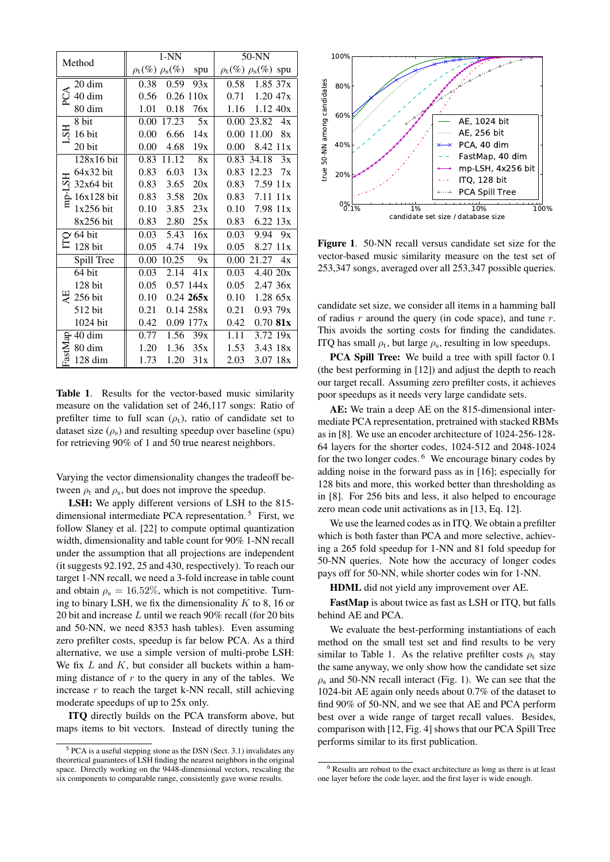|                         | $1-NN$                                     | 50-NN                                   |  |
|-------------------------|--------------------------------------------|-----------------------------------------|--|
| Method                  | $\rho_{\rm t}(\%) \rho_{\rm s}(\%)$<br>spu | $\rho_{\rm t}(\%) \rho_{\rm s}(\%)$ spu |  |
| 20 dim                  | 93x<br>0.38<br>0.59                        | 1.85 37x<br>0.58                        |  |
| PCA<br>40 dim           | 0.56<br>0.26110x                           | 0.71<br>1.2047x                         |  |
| 80 dim                  | 1.01<br>0.18<br>76x                        | 1.16<br>$1.12 \; 40x$                   |  |
| 8 bit                   | 5x<br>17.23<br>0.00                        | 0.00 23.82<br>4x                        |  |
| HS<br>16 bit            | 14x<br>0.00<br>6.66                        | 0.00<br>11.00<br>8x                     |  |
| 20 bit                  | 19x<br>0.00<br>4.68                        | 0.00<br>8.42 11x                        |  |
| 128x16 bit              | 11.12<br>0.83<br>8x                        | 0.83<br>34.18<br>3x                     |  |
| $64x32$ bit             | 6.03<br>13x<br>0.83                        | 0.83<br>12.23<br>7x                     |  |
| $\ddot{S}$<br>32x64 bit | 20x<br>0.83<br>3.65                        | 0.83<br>7.59 11x                        |  |
| mp-1<br>16x128 bit      | 0.83<br>3.58<br>20x                        | 7.11 11x<br>$0.83 -$                    |  |
| 1x256 bit               | 0.10<br>3.85<br>23x                        | $0.10$ 7.98 $11x$                       |  |
| 8x256 bit               | 0.83<br>2.80<br>25x                        | 0.83<br>6.22 13x                        |  |
| $\sim$ 64 bit           | 16x<br>0.03<br>5.43                        | 0.03<br>9.94<br>9x                      |  |
| Ě<br>128 bit            | 0.05<br>4.74<br>19x                        | 0.05<br>8.27 11x                        |  |
| Spill Tree              | 10.25<br>0.00<br>9x                        | 0.00<br>21.27<br>4x                     |  |
| 64 bit                  | 41x<br>0.03<br>2.14                        | 0.03<br>4.40 20x                        |  |
| 128 bit                 | 0.05<br>0.57144x                           | 0.05<br>2.47 36x                        |  |
| $\frac{11}{6}$ 256 bit  | 0.10<br>0.24265x                           | 0.10<br>1.2865x                         |  |
| 512 bit                 | 0.14258x<br>0.21                           | 0.21<br>0.9379x                         |  |
| 1024 bit                | $0.09$ 177 $x$<br>0.42                     | 0.42<br>$0.70$ 81x                      |  |
| $\frac{6}{3}$ 40 dim    | 1.56<br>0.77<br>39x                        | 1.11<br>3.72 19x                        |  |
| FastM<br>80 dim         | 1.20<br>1.36 35x                           | 1.53<br>3.43 18x                        |  |
| 128 dim                 | 1.73<br>1.20<br>31x                        | 2.03<br>3.07 18x                        |  |

<span id="page-3-0"></span>Table 1. Results for the vector-based music similarity measure on the validation set of 246,117 songs: Ratio of prefilter time to full scan  $(\rho_t)$ , ratio of candidate set to dataset size  $(\rho_s)$  and resulting speedup over baseline (spu) for retrieving 90% of 1 and 50 true nearest neighbors.

Varying the vector dimensionality changes the tradeoff between  $\rho_t$  and  $\rho_s$ , but does not improve the speedup.

LSH: We apply different versions of LSH to the 815 dimensional intermediate PCA representation. [5](#page-3-1) First, we follow Slaney et al. [22] to compute optimal quantization width, dimensionality and table count for 90% 1-NN recall under the assumption that all projections are independent (it suggests 92.192, 25 and 430, respectively). To reach our target 1-NN recall, we need a 3-fold increase in table count and obtain  $\rho_s = 16.52\%$ , which is not competitive. Turning to binary LSH, we fix the dimensionality  $K$  to 8, 16 or 20 bit and increase  $L$  until we reach 90% recall (for 20 bits and 50-NN, we need 8353 hash tables). Even assuming zero prefilter costs, speedup is far below PCA. As a third alternative, we use a simple version of multi-probe LSH: We fix  $L$  and  $K$ , but consider all buckets within a hamming distance of  $r$  to the query in any of the tables. We increase  $r$  to reach the target k-NN recall, still achieving moderate speedups of up to 25x only.

ITQ directly builds on the PCA transform above, but maps items to bit vectors. Instead of directly tuning the



<span id="page-3-3"></span>Figure 1. 50-NN recall versus candidate set size for the vector-based music similarity measure on the test set of 253,347 songs, averaged over all 253,347 possible queries.

candidate set size, we consider all items in a hamming ball of radius  $r$  around the query (in code space), and tune  $r$ . This avoids the sorting costs for finding the candidates. ITQ has small  $\rho_t$ , but large  $\rho_s$ , resulting in low speedups.

PCA Spill Tree: We build a tree with spill factor 0.1 (the best performing in [12]) and adjust the depth to reach our target recall. Assuming zero prefilter costs, it achieves poor speedups as it needs very large candidate sets.

AE: We train a deep AE on the 815-dimensional intermediate PCA representation, pretrained with stacked RBMs as in [8]. We use an encoder architecture of 1024-256-128- 64 layers for the shorter codes, 1024-512 and 2048-1024 for the two longer codes. [6](#page-3-2) We encourage binary codes by adding noise in the forward pass as in [16]; especially for 128 bits and more, this worked better than thresholding as in [8]. For 256 bits and less, it also helped to encourage zero mean code unit activations as in [13, Eq. 12].

We use the learned codes as in ITO. We obtain a prefilter which is both faster than PCA and more selective, achieving a 265 fold speedup for 1-NN and 81 fold speedup for 50-NN queries. Note how the accuracy of longer codes pays off for 50-NN, while shorter codes win for 1-NN.

HDML did not yield any improvement over AE.

FastMap is about twice as fast as LSH or ITQ, but falls behind AE and PCA.

We evaluate the best-performing instantiations of each method on the small test set and find results to be very similar to Table [1.](#page-3-0) As the relative prefilter costs  $\rho_t$  stay the same anyway, we only show how the candidate set size  $\rho_s$  and 50-NN recall interact (Fig. [1\)](#page-3-3). We can see that the 1024-bit AE again only needs about 0.7% of the dataset to find 90% of 50-NN, and we see that AE and PCA perform best over a wide range of target recall values. Besides, comparison with [12, Fig. 4] shows that our PCA Spill Tree performs similar to its first publication.

<span id="page-3-1"></span><sup>5</sup> PCA is a useful stepping stone as the DSN (Sect. [3.1\)](#page-1-3) invalidates any theoretical guarantees of LSH finding the nearest neighbors in the original space. Directly working on the 9448-dimensional vectors, rescaling the six components to comparable range, consistently gave worse results.

<span id="page-3-2"></span><sup>6</sup> Results are robust to the exact architecture as long as there is at least one layer before the code layer, and the first layer is wide enough.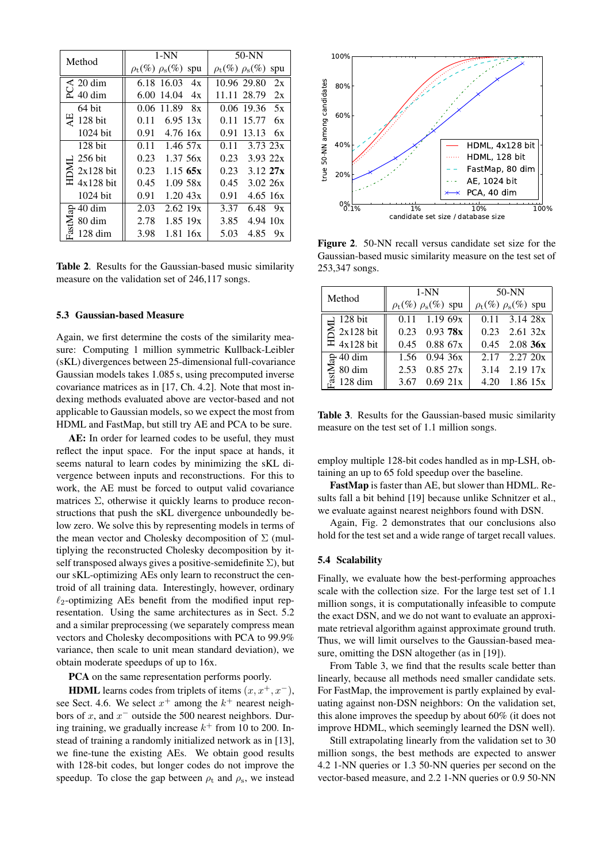| Method                        | $1-NN$                                  | $50-NN$                                 |  |  |
|-------------------------------|-----------------------------------------|-----------------------------------------|--|--|
|                               | $\rho_{\rm t}(\%) \rho_{\rm s}(\%)$ spu | $\rho_{\rm t}(\%) \rho_{\rm s}(\%)$ spu |  |  |
| $\leq 20 \text{ dim}$         | 6.18 16.03<br>4x                        | 10.96 29.80<br>2x                       |  |  |
| $40 \dim$                     | 6.00 14.04<br>4x                        | 11.11 28.79<br>2x                       |  |  |
| 64 bit                        | 0.06 11.89 8x                           | 0.06 19.36<br>5x                        |  |  |
| $128$ bit                     | 6.9513x<br>0.11                         | 15.77<br>6x<br>0.11                     |  |  |
| 1024 bit                      | 0.91<br>4.76 16x                        | 0.91<br>13.13<br>6x                     |  |  |
| $128$ bit                     | 1.4657x<br>0.11                         | 3.7323x<br>0.11                         |  |  |
| 256 bit                       | 0.23<br>1.37.56x                        | 3.932x<br>$0.23 -$                      |  |  |
| $\geq 2x128$ bit              | 0.23<br>1.1565x                         | $0.23$ 3.12 27x                         |  |  |
| 도<br>$4x128$ bit              | 0.45<br>1.0958x                         | 3.0226x<br>0.45                         |  |  |
| $1024$ bit                    | 0.91<br>1.2043x                         | 0.91<br>4.6516x                         |  |  |
| $40 \dim$<br>ਸ਼ਿ              | 2.6219x<br>2.03                         | 3.37<br>6.48 $9x$                       |  |  |
| 80 dim                        | 2.78<br>$1.85$ 19 $x$                   | 4.9410x<br>3.85                         |  |  |
| $F_{3S}$<br>$128 \text{ dim}$ | 3.98<br>1.81 16x                        | 5.03<br>4.85<br>9x                      |  |  |

Table 2. Results for the Gaussian-based music similarity measure on the validation set of 246,117 songs.

#### 5.3 Gaussian-based Measure

Again, we first determine the costs of the similarity measure: Computing 1 million symmetric Kullback-Leibler (sKL) divergences between 25-dimensional full-covariance Gaussian models takes 1.085 s, using precomputed inverse covariance matrices as in [17, Ch. 4.2]. Note that most indexing methods evaluated above are vector-based and not applicable to Gaussian models, so we expect the most from HDML and FastMap, but still try AE and PCA to be sure.

AE: In order for learned codes to be useful, they must reflect the input space. For the input space at hands, it seems natural to learn codes by minimizing the sKL divergence between inputs and reconstructions. For this to work, the AE must be forced to output valid covariance matrices  $\Sigma$ , otherwise it quickly learns to produce reconstructions that push the sKL divergence unboundedly below zero. We solve this by representing models in terms of the mean vector and Cholesky decomposition of  $\Sigma$  (multiplying the reconstructed Cholesky decomposition by itself transposed always gives a positive-semidefinite  $\Sigma$ ), but our sKL-optimizing AEs only learn to reconstruct the centroid of all training data. Interestingly, however, ordinary  $\ell_2$ -optimizing AEs benefit from the modified input representation. Using the same architectures as in Sect. [5.2](#page-2-1) and a similar preprocessing (we separately compress mean vectors and Cholesky decompositions with PCA to 99.9% variance, then scale to unit mean standard deviation), we obtain moderate speedups of up to 16x.

PCA on the same representation performs poorly.

**HDML** learns codes from triplets of items  $(x, x^+, x^-)$ , see Sect. [4.6.](#page-2-2) We select  $x^+$  among the  $k^+$  nearest neighbors of x, and  $x^-$  outside the 500 nearest neighbors. During training, we gradually increase  $k^+$  from 10 to 200. Instead of training a randomly initialized network as in [13], we fine-tune the existing AEs. We obtain good results with 128-bit codes, but longer codes do not improve the speedup. To close the gap between  $\rho_t$  and  $\rho_s$ , we instead



<span id="page-4-0"></span>Figure 2. 50-NN recall versus candidate set size for the Gaussian-based music similarity measure on the test set of 253,347 songs.

| Method                 | $1-NN$                                  |  | $50-NN$                                 |                     |
|------------------------|-----------------------------------------|--|-----------------------------------------|---------------------|
|                        | $\rho_{\rm t}(\%) \rho_{\rm s}(\%)$ spu |  | $\rho_{\rm t}(\%) \rho_{\rm s}(\%)$ spu |                     |
| $\overline{a}$ 128 bit | $0.11$ 1.19 69x                         |  |                                         | $0.11$ 3.14 28x     |
| $\geq 2x128$ bit       | $0.23$ 0.93 78x                         |  |                                         | $0.23$ 2.61 32x     |
| $\Xi$ 4x128 bit        | $0.45$ 0.88 67x                         |  |                                         | $0.45$ 2.08 36x     |
| $\approx 40$ dim       | $1.56$ 0.94 36x                         |  |                                         | $2.17$ $2.27$ $20x$ |
| $\geq 80$ dim          | 2.53 0.85 27x                           |  |                                         | 3.14 2.19 17x       |
| $128 \text{ dim}$      | $3.67$ 0.69 21x                         |  |                                         | $4.20$ 1.86 15x     |

<span id="page-4-1"></span>Table 3. Results for the Gaussian-based music similarity measure on the test set of 1.1 million songs.

employ multiple 128-bit codes handled as in mp-LSH, obtaining an up to 65 fold speedup over the baseline.

FastMap is faster than AE, but slower than HDML. Results fall a bit behind [19] because unlike Schnitzer et al., we evaluate against nearest neighbors found with DSN.

Again, Fig. [2](#page-4-0) demonstrates that our conclusions also hold for the test set and a wide range of target recall values.

#### 5.4 Scalability

Finally, we evaluate how the best-performing approaches scale with the collection size. For the large test set of 1.1 million songs, it is computationally infeasible to compute the exact DSN, and we do not want to evaluate an approximate retrieval algorithm against approximate ground truth. Thus, we will limit ourselves to the Gaussian-based measure, omitting the DSN altogether (as in [19]).

From Table [3,](#page-4-1) we find that the results scale better than linearly, because all methods need smaller candidate sets. For FastMap, the improvement is partly explained by evaluating against non-DSN neighbors: On the validation set, this alone improves the speedup by about 60% (it does not improve HDML, which seemingly learned the DSN well).

Still extrapolating linearly from the validation set to 30 million songs, the best methods are expected to answer 4.2 1-NN queries or 1.3 50-NN queries per second on the vector-based measure, and 2.2 1-NN queries or 0.9 50-NN